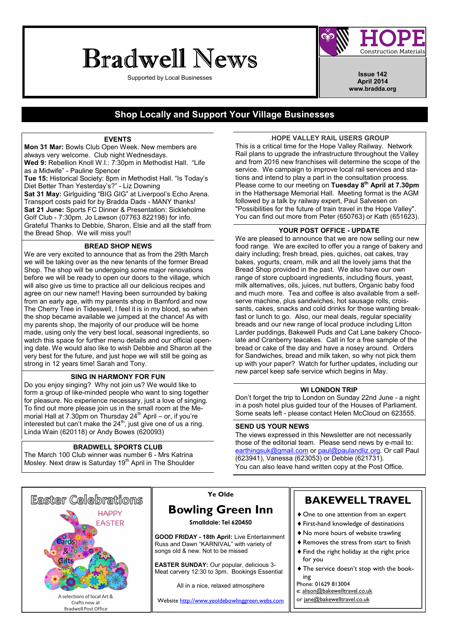# Bradwell News

Supported by Local Businesses **Issue 142 Issue 142** 



April 2014 www.bradda.org

### Shop Locally and Support Your Village Businesses

#### EVENTS

Mon 31 Mar: Bowls Club Open Week. New members are always very welcome. Club night Wednesdays. Wed 9: Rebellion Knoll W.I.: 7:30pm in Methodist Hall. "Life as a Midwife" - Pauline Spencer Tue 15: Historical Society: 8pm in Methodist Hall. "Is Today's Diet Better Than Yesterday's?" - Liz Downing Sat 31 May: Girlguiding "BIG GIG" at Liverpool's Echo Arena. Transport costs paid for by Bradda Dads - MANY thanks! Sat 21 June: Sports FC Dinner & Presentation: Sickleholme Golf Club - 7:30pm. Jo Lawson (07763 822198) for info. Grateful Thanks to Debbie, Sharon, Elsie and all the staff from the Bread Shop. We will miss you!!

#### BREAD SHOP NEWS

We are very excited to announce that as from the 29th March we will be taking over as the new tenants of the former Bread Shop. The shop will be undergoing some major renovations before we will be ready to open our doors to the village, which will also give us time to practice all our delicious recipes and agree on our new name!! Having been surrounded by baking from an early age, with my parents shop in Bamford and now The Cherry Tree in Tideswell, I feel it is in my blood, so when the shop became available we jumped at the chance! As with my parents shop, the majority of our produce will be home made, using only the very best local, seasonal ingredients, so watch this space for further menu details and our official opening date. We would also like to wish Debbie and Sharon all the very best for the future, and just hope we will still be going as strong in 12 years time! Sarah and Tony.

#### SING IN HARMONY FOR FUN

Do you enjoy singing? Why not join us? We would like to form a group of like-minded people who want to sing together for pleasure. No experience necessary, just a love of singing. To find out more please join us in the small room at the Memorial Hall at 7.30pm on Thursday 24<sup>th</sup> April – or, if you're interested but can't make the  $24^{th}$ , just give one of us a ring. Linda Wain (620118) or Andy Bowes (620093)

#### BRADWELL SPORTS CLUB

The March 100 Club winner was number 6 - Mrs Katrina Mosley. Next draw is Saturday 19<sup>th</sup> April in The Shoulder

.HOPE VALLEY RAIL USERS GROUP This is a critical time for the Hope Valley Railway. Network Rail plans to upgrade the infrastructure throughout the Valley and from 2016 new franchises will determine the scope of the service. We campaign to improve local rail services and stations and intend to play a part in the consultation process. Please come to our meeting on Tuesday 8<sup>th</sup> April at 7.30pm in the Hathersage Memorial Hall. Meeting format is the AGM followed by a talk by railway expert, Paul Salvesen on "Possibilities for the future of train travel in the Hope Valley". You can find out more from Peter (650763) or Kath (651623).

#### YOUR POST OFFICE - UPDATE

We are pleased to announce that we are now selling our new food range. We are excited to offer you a range of bakery and dairy including; fresh bread, pies, quiches, oat cakes, tray bakes, yogurts, cream, milk and all the lovely jams that the Bread Shop provided in the past. We also have our own range of store cupboard ingredients, including flours, yeast, milk alternatives, oils, juices, nut butters, Organic baby food and much more. Tea and coffee is also available from a selfserve machine, plus sandwiches, hot sausage rolls, croissants, cakes, snacks and cold drinks for those wanting breakfast or lunch to go. Also, our meal deals, regular speciality breads and our new range of local produce including Litton Larder puddings, Bakewell Puds and Cat Lane bakery Chocolate and Cranberry teacakes. Call in for a free sample of the bread or cake of the day and have a nosey around. Orders for Sandwiches, bread and milk taken, so why not pick them up with your paper? Watch for further updates, including our new parcel keep safe service which begins in May.

#### WI LONDON TRIP

Don't forget the trip to London on Sunday 22nd June - a night in a posh hotel plus guided tour of the Houses of Parliament. Some seats left - please contact Helen McCloud on 623555.

#### SEND US YOUR NEWS

The views expressed in this Newsletter are not necessarily those of the editorial team. Please send news by e-mail to: earthingsuk@gmail.com or paul@paulandliz.org. Or call Paul (623941), Vanessa (623053) or Debbie (621731). You can also leave hand written copy at the Post Office.



### Ye Olde

# Bowling Green Inn

Smalldale: Tel 620450

GOOD FRIDAY - 18th April: Live Entertainment Russ and Dawn "KARNIVAL" with variety of songs old & new. Not to be missed

EASTER SUNDAY: Our popular, delicious 3- Meat carvery 12:30 to 3pm. Bookings Essential

All in a nice, relaxed atmosphere

Website http://www.yeoldebowlinggreen.webs.com

# BAKEWELL TRAVEL

- ♦ One to one attention from an expert
- ♦ First-hand knowledge of destinations
- ♦ No more hours of website trawling
- ♦ Removes the stress from start to finish ♦ Find the right holiday at the right price
	- for you
- ♦ The service doesn't stop with the booking
- Phone: 01629 813004
- e: alison@bakewelltravel.co.uk
- or jane@bakewelltravel.co.uk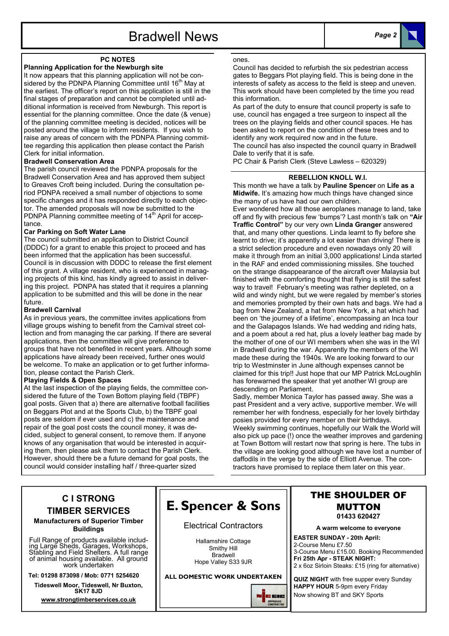# Bradwell News Page 2



#### PC NOTES

#### Planning Application for the Newburgh site

It now appears that this planning application will not be considered by the PDNPA Planning Committee until 16<sup>th</sup> May at the earliest. The officer's report on this application is still in the final stages of preparation and cannot be completed until additional information is received from Newburgh. This report is essential for the planning committee. Once the date (& venue) of the planning committee meeting is decided, notices will be posted around the village to inform residents. If you wish to raise any areas of concern with the PDNPA Planning committee regarding this application then please contact the Parish Clerk for initial information.

#### Bradwell Conservation Area

The parish council reviewed the PDNPA proposals for the Bradwell Conservation Area and has approved them subject to Greaves Croft being included. During the consultation period PDNPA received a small number of objections to some specific changes and it has responded directly to each objector. The amended proposals will now be submitted to the PDNPA Planning committee meeting of 14<sup>th</sup> April for acceptance.

#### Car Parking on Soft Water Lane

The council submitted an application to District Council (DDDC) for a grant to enable this project to proceed and has been informed that the application has been successful. Council is in discussion with DDDC to release the first element of this grant. A village resident, who is experienced in managing projects of this kind, has kindly agreed to assist in delivering this project. PDNPA has stated that it requires a planning application to be submitted and this will be done in the near future.

#### Bradwell Carnival

As in previous years, the committee invites applications from village groups wishing to benefit from the Carnival street collection and from managing the car parking. If there are several applications, then the committee will give preference to groups that have not benefited in recent years. Although some applications have already been received, further ones would be welcome. To make an application or to get further information, please contact the Parish Clerk.

#### Playing Fields & Open Spaces

At the last inspection of the playing fields, the committee considered the future of the Town Bottom playing field (TBPF) goal posts. Given that a) there are alternative football facilities on Beggars Plot and at the Sports Club, b) the TBPF goal posts are seldom if ever used and c) the maintenance and repair of the goal post costs the council money, it was decided, subject to general consent, to remove them. If anyone knows of any organisation that would be interested in acquiring them, then please ask them to contact the Parish Clerk. However, should there be a future demand for goal posts, the council would consider installing half / three-quarter sized

#### ones.

Council has decided to refurbish the six pedestrian access gates to Beggars Plot playing field. This is being done in the interests of safety as access to the field is steep and uneven. This work should have been completed by the time you read this information.

As part of the duty to ensure that council property is safe to use, council has engaged a tree surgeon to inspect all the trees on the playing fields and other council spaces. He has been asked to report on the condition of these trees and to identify any work required now and in the future.

The council has also inspected the council quarry in Bradwell Dale to verify that it is safe.

PC Chair & Parish Clerk (Steve Lawless - 620329)

#### REBELLION KNOLL W.I.

This month we have a talk by Pauline Spencer on Life as a Midwife. It's amazing how much things have changed since the many of us have had our own children.

Ever wondered how all those aeroplanes manage to land, take off and fly with precious few 'bumps'? Last month's talk on "Air Traffic Control" by our very own Linda Granger answered that, and many other questions. Linda learnt to fly before she learnt to drive; it's apparently a lot easier than driving! There is a strict selection procedure and even nowadays only 20 will make it through from an initial 3,000 applications! Linda started in the RAF and ended commissioning missiles. She touched on the strange disappearance of the aircraft over Malaysia but finished with the comforting thought that flying is still the safest way to travel! February's meeting was rather depleted, on a wild and windy night, but we were regaled by member's stories and memories prompted by their own hats and bags. We had a bag from New Zealand, a hat from New York, a hat which had been on 'the journey of a lifetime', encompassing an Inca tour and the Galapagos Islands. We had wedding and riding hats, and a poem about a red hat, plus a lovely leather bag made by the mother of one of our WI members when she was in the WI in Bradwell during the war. Apparently the members of the WI made these during the 1940s. We are looking forward to our trip to Westminster in June although expenses cannot be claimed for this trip!! Just hope that our MP Patrick McLoughlin has forewarned the speaker that yet another WI group are descending on Parliament.

Sadly, member Monica Taylor has passed away. She was a past President and a very active, supportive member. We will remember her with fondness, especially for her lovely birthday posies provided for every member on their birthdays. Weekly swimming continues, hopefully our Walk the World will also pick up pace (!) once the weather improves and gardening at Town Bottom will restart now that spring is here. The tubs in the village are looking good although we have lost a number of daffodils in the verge by the side of Elliott Avenue. The contractors have promised to replace them later on this year.

### C I STRONG TIMBER SERVICES

Manufacturers of Superior Timber Buildings

Full Range of products available including Large Sheds, Garages, Workshops, Stabling and Field Shelters. A full range of animal housing available. All ground work undertaken

Tel: 01298 873098 / Mob: 0771 5254620

Tideswell Moor, Tideswell, Nr Buxton, SK17 8JD

www.strongtimberservices.co.uk

# E. Spencer & Sons

#### Electrical Contractors

Hallamshire Cottage Smithy Hill Bradwell Hope Valley S33 9JR

ALL DOMESTIC WORK UNDERTAKEN

**JEUR** 



A warm welcome to everyone

EASTER SUNDAY - 20th April: 2-Course Menu £7.50 3-Course Menu £15.00. Booking Recommended Fri 25th Apr - STEAK NIGHT: 2 x 6oz Sirloin Steaks: £15 (ring for alternative)

QUIZ NIGHT with free supper every Sunday HAPPY HOUR 5-9pm every Friday Now showing BT and SKY Sports

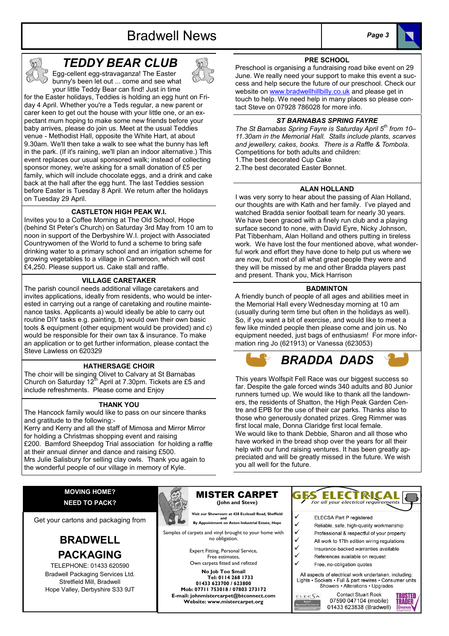# Bradwell News Page 3





# TEDDY BEAR CLUB

Egg-cellent egg-stravaganza! The Easter bunny's been let out ... come and see what your little Teddy Bear can find! Just in time

for the Easter holidays, Teddies is holding an egg hunt on Friday 4 April. Whether you're a Teds regular, a new parent or carer keen to get out the house with your little one, or an expectant mum hoping to make some new friends before your baby arrives, please do join us. Meet at the usual Teddies venue - Methodist Hall, opposite the White Hart, at about 9.30am. We'll then take a walk to see what the bunny has left in the park. (If it's raining, we'll plan an indoor alternative.) This event replaces our usual sponsored walk; instead of collecting sponsor money, we're asking for a small donation of £5 per family, which will include chocolate eggs, and a drink and cake back at the hall after the egg hunt. The last Teddies session before Easter is Tuesday 8 April. We return after the holidays on Tuesday 29 April.

#### CASTLETON HIGH PEAK W.I.

Invites you to a Coffee Morning at The Old School, Hope (behind St Peter's Church) on Saturday 3rd May from 10 am to noon in support of the Derbyshire W.I. project with Associated Countrywomen of the World to fund a scheme to bring safe drinking water to a primary school and an irrigation scheme for growing vegetables to a village in Cameroon, which will cost £4,250. Please support us. Cake stall and raffle.

#### VILLAGE CARETAKER

The parish council needs additional village caretakers and invites applications, ideally from residents, who would be interested in carrying out a range of caretaking and routine maintenance tasks. Applicants a) would ideally be able to carry out routine DIY tasks e.g. painting, b) would own their own basic tools & equipment (other equipment would be provided) and c) would be responsible for their own tax & insurance. To make an application or to get further information, please contact the Steve Lawless on 620329

#### HATHERSAGE CHOIR

The choir will be singing Olivet to Calvary at St Barnabas Church on Saturday  $12^{th}$  April at 7.30pm. Tickets are £5 and include refreshments. Please come and Enjoy

#### THANK YOU

The Hancock family would like to pass on our sincere thanks and gratitude to the following:-

Kerry and Kerry and all the staff of Mimosa and Mirror Mirror for holding a Christmas shopping event and raising

£200. Bamford Sheepdog Trial association for holding a raffle at their annual dinner and dance and raising £500. Mrs Julie Salisbury for selling clay owls. Thank you again to

the wonderful people of our village in memory of Kyle.

### PRE SCHOOL

Preschool is organising a fundraising road bike event on 29 June. We really need your support to make this event a success and help secure the future of our preschool. Check our website on www.bradwellhillbilly.co.uk and please get in touch to help. We need help in many places so please contact Steve on 07928 786028 for more info.

#### ST BARNABAS SPRING FAYRE

The St Barnabas Spring Fayre is Saturday April  $5<sup>th</sup>$  from 10-11.30am in the Memorial Hall. Stalls include plants, scarves and jewellery, cakes, books. There is a Raffle & Tombola. Competitions for both adults and children: 1.The best decorated Cup Cake

2.The best decorated Easter Bonnet.

#### ALAN HOLLAND

I was very sorry to hear about the passing of Alan Holland, our thoughts are with Kath and her family. I've played and watched Bradda senior football team for nearly 30 years. We have been graced with a finely run club and a playing surface second to none, with David Eyre, Nicky Johnson, Pat Tibbenham, Alan Holland and others putting in tireless work. We have lost the four mentioned above, what wonderful work and effort they have done to help put us where we are now, but most of all what great people they were and they will be missed by me and other Bradda players past and present. Thank you, Mick Harrison

#### **BADMINTON**

A friendly bunch of people of all ages and abilities meet in the Memorial Hall every Wednesday morning at 10 am (usually during term time but often in the holidays as well). So, if you want a bit of exercise, and would like to meet a few like minded people then please come and join us. No equipment needed, just bags of enthusiasm! For more information ring Jo (621913) or Vanessa (623053)



This years Wolfspit Fell Race was our biggest success so far. Despite the gale forced winds 340 adults and 80 Junior runners turned up. We would like to thank all the landowners, the residents of Shatton, the High Peak Garden Centre and EPB for the use of their car parks. Thanks also to those who generously donated prizes. Greg Rimmer was first local male, Donna Claridge first local female. We would like to thank Debbie, Sharon and all those who have worked in the bread shop over the years for all their help with our fund raising ventures. It has been greatly appreciated and will be greatly missed in the future. We wish you all well for the future.

#### MOVING HOME? NEED TO PACK?

Get your cartons and packaging from

## BRADWELL PACKAGING

TELEPHONE: 01433 620590 Bradwell Packaging Services Ltd. Stretfield Mill, Bradwell Hope Valley, Derbyshire S33 9JT



MISTER CARPET (John and Steve)

 Visit our Showroom at 428 Ecclesall Road, Sheffield and<br>
By Appointment on Aston Industrial Estate, Hope

Samples of carpets and vinyl brought to your home with no obligation.

> Expert Fitting, Personal Service, Free estimates, Own carpets fitted and refitted

No Job Too Small Tel: 0114 268 1733 01433 623700 / 623800 Mob: 07711 753018 / 07803 273172 E-mail: johnmistercarpet@btconnect.com Website: www.mistercarpet.org



- **ELECSA Part P registered**
- Reliable, safe, high-quality workmanship
- Professional & respectful of your property All work to 17th edition wiring regulations
- Insurance-backed warranties available
- References available on request
- Free, no-obligation guotes

All aspects of electrical work undertaken, including: Lights · Sockets · Full & part rewires · Consumer units Showers • Alterations • Upgrades

ELECSA

**Contact Stuart Rook** 07590 047104 (mobile) 01433 623838 (Bradwell)